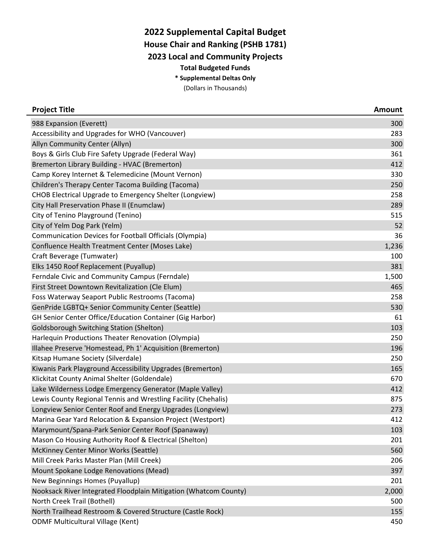## **2022 Supplemental Capital Budget**

**House Chair and Ranking (PSHB 1781)**

**2023 Local and Community Projects**

**Total Budgeted Funds**

**\* Supplemental Deltas Only**

(Dollars in Thousands)

| <b>Project Title</b>                                             | <b>Amount</b> |
|------------------------------------------------------------------|---------------|
| 988 Expansion (Everett)                                          | 300           |
| Accessibility and Upgrades for WHO (Vancouver)                   | 283           |
| Allyn Community Center (Allyn)                                   | 300           |
| Boys & Girls Club Fire Safety Upgrade (Federal Way)              | 361           |
| Bremerton Library Building - HVAC (Bremerton)                    | 412           |
| Camp Korey Internet & Telemedicine (Mount Vernon)                | 330           |
| Children's Therapy Center Tacoma Building (Tacoma)               | 250           |
| <b>CHOB Electrical Upgrade to Emergency Shelter (Longview)</b>   | 258           |
| City Hall Preservation Phase II (Enumclaw)                       | 289           |
| City of Tenino Playground (Tenino)                               | 515           |
| City of Yelm Dog Park (Yelm)                                     | 52            |
| Communication Devices for Football Officials (Olympia)           | 36            |
| Confluence Health Treatment Center (Moses Lake)                  | 1,236         |
| Craft Beverage (Tumwater)                                        | 100           |
| Elks 1450 Roof Replacement (Puyallup)                            | 381           |
| Ferndale Civic and Community Campus (Ferndale)                   | 1,500         |
| First Street Downtown Revitalization (Cle Elum)                  | 465           |
| Foss Waterway Seaport Public Restrooms (Tacoma)                  | 258           |
| GenPride LGBTQ+ Senior Community Center (Seattle)                | 530           |
| <b>GH Senior Center Office/Education Container (Gig Harbor)</b>  | 61            |
| <b>Goldsborough Switching Station (Shelton)</b>                  | 103           |
| Harlequin Productions Theater Renovation (Olympia)               | 250           |
| Illahee Preserve 'Homestead, Ph 1' Acquisition (Bremerton)       | 196           |
| Kitsap Humane Society (Silverdale)                               | 250           |
| Kiwanis Park Playground Accessibility Upgrades (Bremerton)       | 165           |
| Klickitat County Animal Shelter (Goldendale)                     | 670           |
| Lake Wilderness Lodge Emergency Generator (Maple Valley)         | 412           |
| Lewis County Regional Tennis and Wrestling Facility (Chehalis)   | 875           |
| Longview Senior Center Roof and Energy Upgrades (Longview)       | 273           |
| Marina Gear Yard Relocation & Expansion Project (Westport)       | 412           |
| Marymount/Spana-Park Senior Center Roof (Spanaway)               | 103           |
| Mason Co Housing Authority Roof & Electrical (Shelton)           | 201           |
| McKinney Center Minor Works (Seattle)                            | 560           |
| Mill Creek Parks Master Plan (Mill Creek)                        | 206           |
| Mount Spokane Lodge Renovations (Mead)                           | 397           |
| New Beginnings Homes (Puyallup)                                  | 201           |
| Nooksack River Integrated Floodplain Mitigation (Whatcom County) | 2,000         |
| North Creek Trail (Bothell)                                      | 500           |
| North Trailhead Restroom & Covered Structure (Castle Rock)       | 155           |
| <b>ODMF Multicultural Village (Kent)</b>                         | 450           |